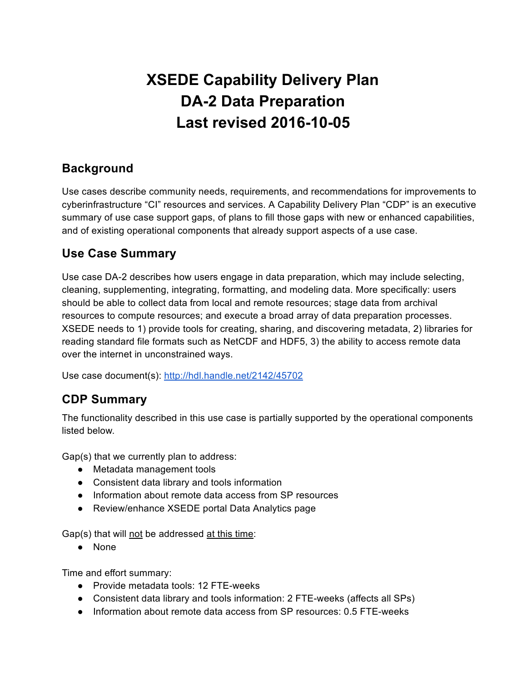# **XSEDE Capability Delivery Plan DA2 Data Preparation Last revised 2016-10-05**

#### **Background**

Use cases describe community needs, requirements, and recommendations for improvements to cyberinfrastructure "CI" resources and services. A Capability Delivery Plan "CDP" is an executive summary of use case support gaps, of plans to fill those gaps with new or enhanced capabilities, and of existing operational components that already support aspects of a use case.

### **Use Case Summary**

Use case DA-2 describes how users engage in data preparation, which may include selecting, cleaning, supplementing, integrating, formatting, and modeling data. More specifically: users should be able to collect data from local and remote resources; stage data from archival resources to compute resources; and execute a broad array of data preparation processes. XSEDE needs to 1) provide tools for creating, sharing, and discovering metadata, 2) libraries for reading standard file formats such as NetCDF and HDF5, 3) the ability to access remote data over the internet in unconstrained ways.

Use case document(s): <http://hdl.handle.net/2142/45702>

# **CDP Summary**

The functionality described in this use case is partially supported by the operational components listed below.

Gap(s) that we currently plan to address:

- Metadata management tools
- Consistent data library and tools information
- Information about remote data access from SP resources
- Review/enhance XSEDE portal Data Analytics page

Gap(s) that will not be addressed at this time:

● None

Time and effort summary:

- Provide metadata tools: 12 FTE-weeks
- Consistent data library and tools information: 2 FTE-weeks (affects all SPs)
- Information about remote data access from SP resources: 0.5 FTE-weeks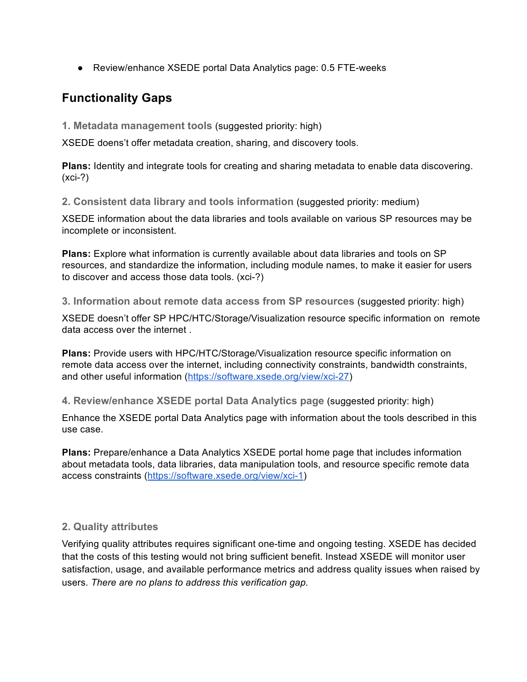● Review/enhance XSEDE portal Data Analytics page: 0.5 FTE-weeks

## **Functionality Gaps**

**1. Metadata management tools** (suggested priority: high)

XSEDE doens't offer metadata creation, sharing, and discovery tools.

**Plans:** Identity and integrate tools for creating and sharing metadata to enable data discovering.  $(xci-?)$ 

**2. Consistent data library and tools information** (suggested priority: medium)

XSEDE information about the data libraries and tools available on various SP resources may be incomplete or inconsistent.

**Plans:** Explore what information is currently available about data libraries and tools on SP resources, and standardize the information, including module names, to make it easier for users to discover and access those data tools. (xci?)

**3. Information about remote data access from SP resources** (suggested priority: high)

XSEDE doesn't offer SP HPC/HTC/Storage/Visualization resource specific information on remote data access over the internet .

**Plans:** Provide users with HPC/HTC/Storage/Visualization resource specific information on remote data access over the internet, including connectivity constraints, bandwidth constraints, and other useful information (https://software.xsede.org/view/xci-27)

**4. Review/enhance XSEDE portal Data Analytics page** (suggested priority: high)

Enhance the XSEDE portal Data Analytics page with information about the tools described in this use case.

**Plans:** Prepare/enhance a Data Analytics XSEDE portal home page that includes information about metadata tools, data libraries, data manipulation tools, and resource specific remote data access constraints (https://software.xsede.org/view/xci-1)

#### **2. Quality attributes**

Verifying quality attributes requires significant one-time and ongoing testing. XSEDE has decided that the costs of this testing would not bring sufficient benefit. Instead XSEDE will monitor user satisfaction, usage, and available performance metrics and address quality issues when raised by users. *There are no plans to address this verification gap.*